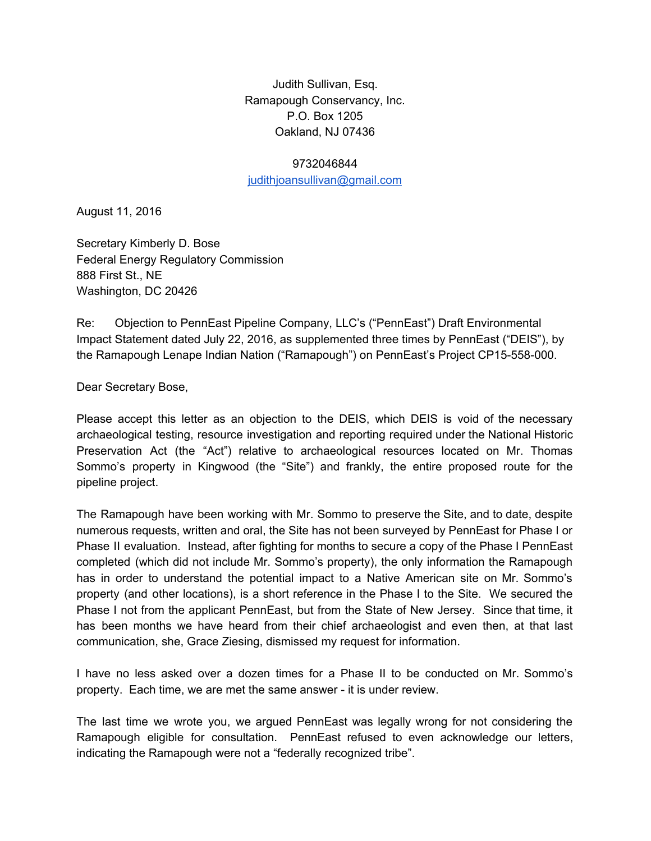Judith Sullivan, Esq. Ramapough Conservancy, Inc. P.O. Box 1205 Oakland, NJ 07436

## 9732046844

[judithjoansullivan@gmail.com](mailto:judithjoansullivan@gmail.com)

August 11, 2016

Secretary Kimberly D. Bose Federal Energy Regulatory Commission 888 First St., NE Washington, DC 20426

Re: Objection to PennEast Pipeline Company, LLC's ("PennEast") Draft Environmental Impact Statement dated July 22, 2016, as supplemented three times by PennEast ("DEIS"), by the Ramapough Lenape Indian Nation ("Ramapough") on PennEast's Project CP15-558-000.

Dear Secretary Bose,

Please accept this letter as an objection to the DEIS, which DEIS is void of the necessary archaeological testing, resource investigation and reporting required under the National Historic Preservation Act (the "Act") relative to archaeological resources located on Mr. Thomas Sommo's property in Kingwood (the "Site") and frankly, the entire proposed route for the pipeline project.

The Ramapough have been working with Mr. Sommo to preserve the Site, and to date, despite numerous requests, written and oral, the Site has not been surveyed by PennEast for Phase I or Phase II evaluation. Instead, after fighting for months to secure a copy of the Phase I PennEast completed (which did not include Mr. Sommo's property), the only information the Ramapough has in order to understand the potential impact to a Native American site on Mr. Sommo's property (and other locations), is a short reference in the Phase I to the Site. We secured the Phase I not from the applicant PennEast, but from the State of New Jersey. Since that time, it has been months we have heard from their chief archaeologist and even then, at that last communication, she, Grace Ziesing, dismissed my request for information.

I have no less asked over a dozen times for a Phase II to be conducted on Mr. Sommo's property. Each time, we are met the same answer - it is under review.

The last time we wrote you, we argued PennEast was legally wrong for not considering the Ramapough eligible for consultation. PennEast refused to even acknowledge our letters, indicating the Ramapough were not a "federally recognized tribe".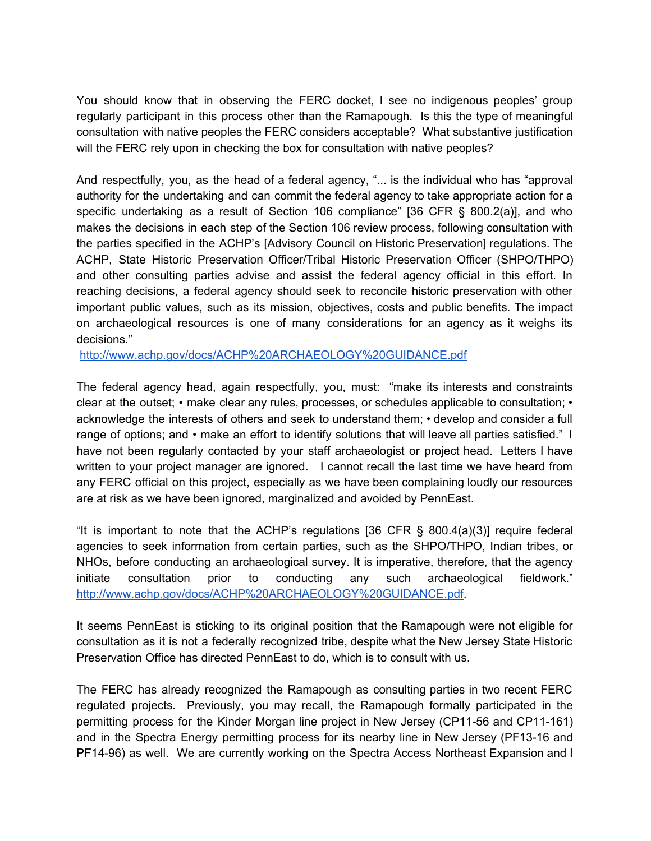You should know that in observing the FERC docket, I see no indigenous peoples' group regularly participant in this process other than the Ramapough. Is this the type of meaningful consultation with native peoples the FERC considers acceptable? What substantive justification will the FERC rely upon in checking the box for consultation with native peoples?

And respectfully, you, as the head of a federal agency, "... is the individual who has "approval authority for the undertaking and can commit the federal agency to take appropriate action for a specific undertaking as a result of Section 106 compliance" [36 CFR § 800.2(a)], and who makes the decisions in each step of the Section 106 review process, following consultation with the parties specified in the ACHP's [Advisory Council on Historic Preservation] regulations. The ACHP, State Historic Preservation Officer/Tribal Historic Preservation Officer (SHPO/THPO) and other consulting parties advise and assist the federal agency official in this effort. In reaching decisions, a federal agency should seek to reconcile historic preservation with other important public values, such as its mission, objectives, costs and public benefits. The impact on archaeological resources is one of many considerations for an agency as it weighs its decisions."

<http://www.achp.gov/docs/ACHP%20ARCHAEOLOGY%20GUIDANCE.pdf>

The federal agency head, again respectfully, you, must: "make its interests and constraints clear at the outset; • make clear any rules, processes, or schedules applicable to consultation; • acknowledge the interests of others and seek to understand them; • develop and consider a full range of options; and • make an effort to identify solutions that will leave all parties satisfied." I have not been regularly contacted by your staff archaeologist or project head. Letters I have written to your project manager are ignored. I cannot recall the last time we have heard from any FERC official on this project, especially as we have been complaining loudly our resources are at risk as we have been ignored, marginalized and avoided by PennEast.

"It is important to note that the ACHP's regulations [36 CFR § 800.4(a)(3)] require federal agencies to seek information from certain parties, such as the SHPO/THPO, Indian tribes, or NHOs, before conducting an archaeological survey. It is imperative, therefore, that the agency initiate consultation prior to conducting any such archaeological fieldwork." [http://www.achp.gov/docs/ACHP%20ARCHAEOLOGY%20GUIDANCE.pdf.](http://www.achp.gov/docs/ACHP%20ARCHAEOLOGY%20GUIDANCE.pdf)

It seems PennEast is sticking to its original position that the Ramapough were not eligible for consultation as it is not a federally recognized tribe, despite what the New Jersey State Historic Preservation Office has directed PennEast to do, which is to consult with us.

The FERC has already recognized the Ramapough as consulting parties in two recent FERC regulated projects. Previously, you may recall, the Ramapough formally participated in the permitting process for the Kinder Morgan line project in New Jersey (CP11-56 and CP11-161) and in the Spectra Energy permitting process for its nearby line in New Jersey (PF13-16 and PF14-96) as well. We are currently working on the Spectra Access Northeast Expansion and I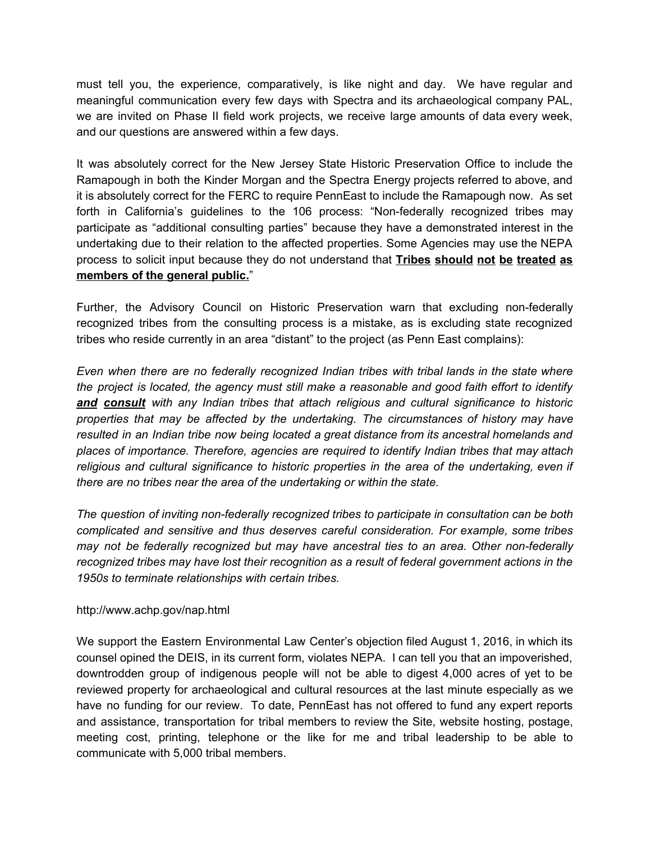must tell you, the experience, comparatively, is like night and day. We have regular and meaningful communication every few days with Spectra and its archaeological company PAL, we are invited on Phase II field work projects, we receive large amounts of data every week, and our questions are answered within a few days.

It was absolutely correct for the New Jersey State Historic Preservation Office to include the Ramapough in both the Kinder Morgan and the Spectra Energy projects referred to above, and it is absolutely correct for the FERC to require PennEast to include the Ramapough now. As set forth in California's guidelines to the 106 process: "Non-federally recognized tribes may participate as "additional consulting parties" because they have a demonstrated interest in the undertaking due to their relation to the affected properties. Some Agencies may use the NEPA process to solicit input because they do not understand that **Tribes should not be treated as members of the general public.**"

Further, the Advisory Council on Historic Preservation warn that excluding non-federally recognized tribes from the consulting process is a mistake, as is excluding state recognized tribes who reside currently in an area "distant" to the project (as Penn East complains):

*Even when there are no federally recognized Indian tribes with tribal lands in the state where the project is located, the agency must still make a reasonable and good faith effort to identify and consult with any Indian tribes that attach religious and cultural significance to historic properties that may be affected by the undertaking. The circumstances of history may have resulted in an Indian tribe now being located a great distance from its ancestral homelands and places of importance. Therefore, agencies are required to identify Indian tribes that may attach religious and cultural significance to historic properties in the area of the undertaking, even if there are no tribes near the area of the undertaking or within the state.*

*The question of inviting nonfederally recognized tribes to participate in consultation can be both complicated and sensitive and thus deserves careful consideration. For example, some tribes may not be federally recognized but may have ancestral ties to an area. Other nonfederally recognized tribes may have lost their recognition as a result of federal government actions in the 1950s to terminate relationships with certain tribes.*

## http://www.achp.gov/nap.html

We support the Eastern Environmental Law Center's objection filed August 1, 2016, in which its counsel opined the DEIS, in its current form, violates NEPA. I can tell you that an impoverished, downtrodden group of indigenous people will not be able to digest 4,000 acres of yet to be reviewed property for archaeological and cultural resources at the last minute especially as we have no funding for our review. To date, PennEast has not offered to fund any expert reports and assistance, transportation for tribal members to review the Site, website hosting, postage, meeting cost, printing, telephone or the like for me and tribal leadership to be able to communicate with 5,000 tribal members.